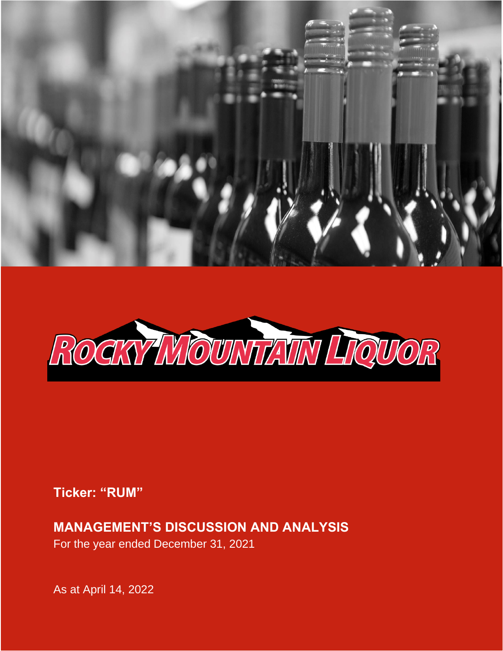



1

# **Ticker: "RUM"**

# **MANAGEMENT'S DISCUSSION AND ANALYSIS**

For the year ended December 31, 2021

As at April 14, 2022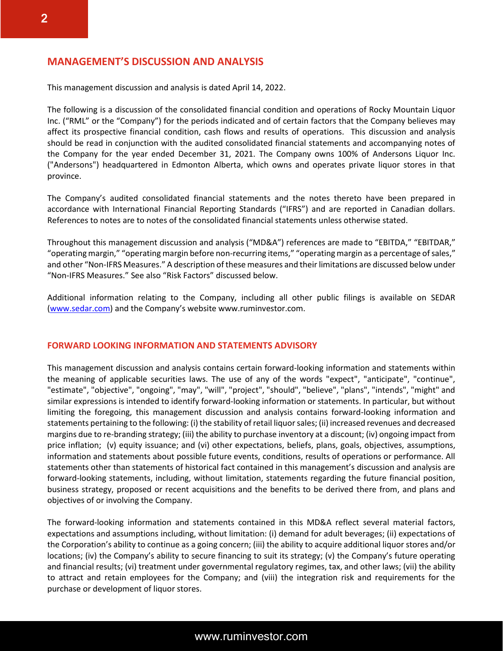## **MANAGEMENT'S DISCUSSION AND ANALYSIS**

This management discussion and analysis is dated April 14, 2022.

The following is a discussion of the consolidated financial condition and operations of Rocky Mountain Liquor Inc. ("RML" or the "Company") for the periods indicated and of certain factors that the Company believes may affect its prospective financial condition, cash flows and results of operations. This discussion and analysis should be read in conjunction with the audited consolidated financial statements and accompanying notes of the Company for the year ended December 31, 2021. The Company owns 100% of Andersons Liquor Inc. ("Andersons") headquartered in Edmonton Alberta, which owns and operates private liquor stores in that province.

The Company's audited consolidated financial statements and the notes thereto have been prepared in accordance with International Financial Reporting Standards ("IFRS") and are reported in Canadian dollars. References to notes are to notes of the consolidated financial statements unless otherwise stated.

Throughout this management discussion and analysis ("MD&A") references are made to "EBITDA," "EBITDAR," "operating margin," "operating margin before non-recurring items," "operating margin as a percentage of sales," and other "Non-IFRS Measures." A description of these measures and their limitations are discussed below under "Non-IFRS Measures." See also "Risk Factors" discussed below.

Additional information relating to the Company, including all other public filings is available on SEDAR [\(www.sedar.com](http://www.sedar.com/)) and the Company's website www.ruminvestor.com.

#### **FORWARD LOOKING INFORMATION AND STATEMENTS ADVISORY**

This management discussion and analysis contains certain forward-looking information and statements within the meaning of applicable securities laws. The use of any of the words "expect", "anticipate", "continue", "estimate", "objective", "ongoing", "may", "will", "project", "should", "believe", "plans", "intends", "might" and similar expressions is intended to identify forward-looking information or statements. In particular, but without limiting the foregoing, this management discussion and analysis contains forward-looking information and statements pertaining to the following: (i) the stability of retail liquor sales; (ii) increased revenues and decreased margins due to re-branding strategy; (iii) the ability to purchase inventory at a discount; (iv) ongoing impact from price inflation; (v) equity issuance; and (vi) other expectations, beliefs, plans, goals, objectives, assumptions, information and statements about possible future events, conditions, results of operations or performance. All statements other than statements of historical fact contained in this management's discussion and analysis are forward-looking statements, including, without limitation, statements regarding the future financial position, business strategy, proposed or recent acquisitions and the benefits to be derived there from, and plans and objectives of or involving the Company.

The forward-looking information and statements contained in this MD&A reflect several material factors, expectations and assumptions including, without limitation: (i) demand for adult beverages; (ii) expectations of the Corporation's ability to continue as a going concern; (iii) the ability to acquire additional liquor stores and/or locations; (iv) the Company's ability to secure financing to suit its strategy; (v) the Company's future operating and financial results; (vi) treatment under governmental regulatory regimes, tax, and other laws; (vii) the ability to attract and retain employees for the Company; and (viii) the integration risk and requirements for the purchase or development of liquor stores.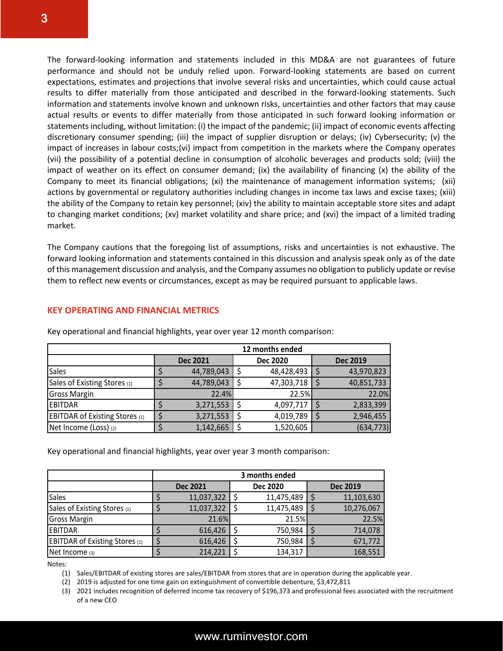The forward-looking information and statements included in this MD&A are not guarantees of future performance and should not be unduly relied upon. Forward-looking statements are based on current expectations, estimates and projections that involve several risks and uncertainties, which could cause actual results to differ materially from those anticipated and described in the forward-looking statements. Such information and statements involve known and unknown risks, uncertainties and other factors that may cause actual results or events to differ materially from those anticipated in such forward looking information or statements including, without limitation: (i) the impact of the pandemic; (ii) impact of economic events affecting discretionary consumer spending; (iii) the impact of supplier disruption or delays; (iv) Cybersecurity; (v) the impact of increases in labour costs;(vi) impact from competition in the markets where the Company operates (vii) the possibility of a potential decline in consumption of alcoholic beverages and products sold; (viii) the impact of weather on its effect on consumer demand; (ix) the availability of financing (x) the ability of the Company to meet its financial obligations; (xi) the maintenance of management information systems; (xii) actions by governmental or regulatory authorities including changes in income tax laws and excise taxes; (xiii) the ability of the Company to retain key personnel; (xiv) the ability to maintain acceptable store sites and adapt to changing market conditions; (xv) market volatility and share price; and (xvi) the impact of a limited trading market.

The Company cautions that the foregoing list of assumptions, risks and uncertainties is not exhaustive. The forward looking information and statements contained in this discussion and analysis speak only as of the date of this management discussion and analysis, and the Company assumes no obligation to publicly update or revise them to reflect new events or circumstances, except as may be required pursuant to applicable laws.

#### **KEY OPERATING AND FINANCIAL METRICS**

|                                       |                 | 12 months ended |                 |
|---------------------------------------|-----------------|-----------------|-----------------|
|                                       | <b>Dec 2021</b> | <b>Dec 2020</b> | <b>Dec 2019</b> |
| Sales                                 | 44,789,043      | 48,428,493      | 43,970,823      |
| Sales of Existing Stores (1)          | 44,789,043      | 47,303,718      | 40,851,733      |
| <b>Gross Margin</b>                   | 22.4%           | 22.5%           | 22.0%           |
| <b>EBITDAR</b>                        | 3,271,553       | 4,097,717       | 2,833,399       |
| <b>EBITDAR of Existing Stores (1)</b> | 3,271,553       | 4,019,789       | 2,946,455       |
| Net Income (Loss) (2)                 | 1,142,665       | 1,520,605       | (634, 773)      |

Key operational and financial highlights, year over year 12 month comparison:

Key operational and financial highlights, year over year 3 month comparison:

|                                       | 3 months ended  |  |                 |  |                 |  |  |  |
|---------------------------------------|-----------------|--|-----------------|--|-----------------|--|--|--|
|                                       | <b>Dec 2021</b> |  | <b>Dec 2020</b> |  | <b>Dec 2019</b> |  |  |  |
| <b>Sales</b>                          | 11,037,322      |  | 11,475,489      |  | 11,103,630      |  |  |  |
| Sales of Existing Stores (1)          | 11,037,322      |  | 11,475,489      |  | 10,276,067      |  |  |  |
| <b>Gross Margin</b>                   | 21.6%           |  | 21.5%           |  | 22.5%           |  |  |  |
| <b>EBITDAR</b>                        | 616,426         |  | 750,984         |  | 714,078         |  |  |  |
| <b>EBITDAR of Existing Stores (1)</b> | 616,426         |  | 750,984         |  | 671,772         |  |  |  |
| Net Income (3)                        | 214,221         |  | 134,317         |  | 168,551         |  |  |  |

Notes:

(1) Sales/EBITDAR of existing stores are sales/EBITDAR from stores that are in operation during the applicable year.

(2) 2019 is adjusted for one time gain on extinguishment of convertible debenture, \$3,472,811

(3) 2021 includes recognition of deferred income tax recovery of \$196,373 and professional fees associated with the recruitment of a new CEO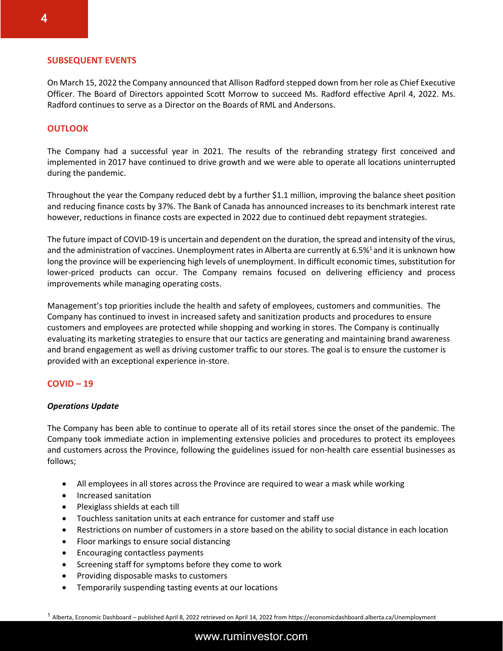#### **SUBSEQUENT EVENTS**

On March 15, 2022 the Company announced that Allison Radford stepped down from her role as Chief Executive Officer. The Board of Directors appointed Scott Morrow to succeed Ms. Radford effective April 4, 2022. Ms. Radford continues to serve as a Director on the Boards of RML and Andersons.

#### **OUTLOOK**

The Company had a successful year in 2021. The results of the rebranding strategy first conceived and implemented in 2017 have continued to drive growth and we were able to operate all locations uninterrupted during the pandemic.

Throughout the year the Company reduced debt by a further \$1.1 million, improving the balance sheet position and reducing finance costs by 37%. The Bank of Canada has announced increases to its benchmark interest rate however, reductions in finance costs are expected in 2022 due to continued debt repayment strategies.

The future impact of COVID-19 is uncertain and dependent on the duration, the spread and intensity of the virus, and the administration of vaccines. Unemployment rates in Alberta are currently at 6.5%<sup>1</sup> and it is unknown how long the province will be experiencing high levels of unemployment. In difficult economic times, substitution for lower-priced products can occur. The Company remains focused on delivering efficiency and process improvements while managing operating costs.

Management's top priorities include the health and safety of employees, customers and communities. The Company has continued to invest in increased safety and sanitization products and procedures to ensure customers and employees are protected while shopping and working in stores. The Company is continually evaluating its marketing strategies to ensure that our tactics are generating and maintaining brand awareness and brand engagement as well as driving customer traffic to our stores. The goal is to ensure the customer is provided with an exceptional experience in-store.

#### **COVID – 19**

#### *Operations Update*

The Company has been able to continue to operate all of its retail stores since the onset of the pandemic. The Company took immediate action in implementing extensive policies and procedures to protect its employees and customers across the Province, following the guidelines issued for non-health care essential businesses as follows;

- All employees in all stores across the Province are required to wear a mask while working
- Increased sanitation
- Plexiglass shields at each till
- Touchless sanitation units at each entrance for customer and staff use
- Restrictions on number of customers in a store based on the ability to social distance in each location
- Floor markings to ensure social distancing
- Encouraging contactless payments
- Screening staff for symptoms before they come to work
- Providing disposable masks to customers
- Temporarily suspending tasting events at our locations

<sup>1</sup> Alberta, Economic Dashboard – published April 8, 2022 retrieved on April 14, 2022 from https://economicdashboard.alberta.ca/Unemployment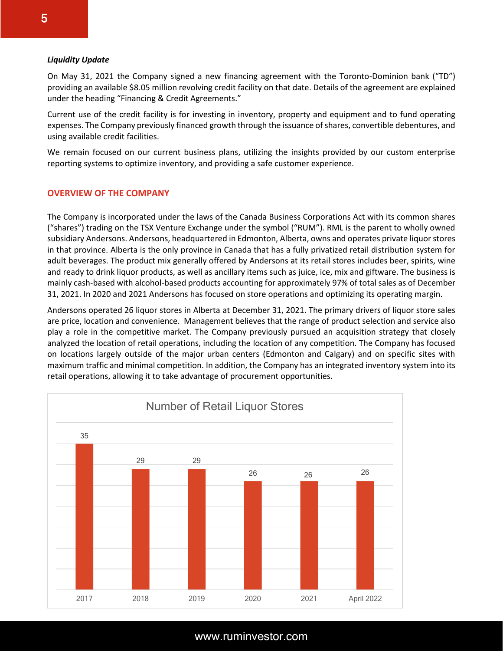#### *Liquidity Update*

On May 31, 2021 the Company signed a new financing agreement with the Toronto-Dominion bank ("TD") providing an available \$8.05 million revolving credit facility on that date. Details of the agreement are explained under the heading "Financing & Credit Agreements."

Current use of the credit facility is for investing in inventory, property and equipment and to fund operating expenses. The Company previously financed growth through the issuance of shares, convertible debentures, and using available credit facilities.

We remain focused on our current business plans, utilizing the insights provided by our custom enterprise reporting systems to optimize inventory, and providing a safe customer experience.

#### **OVERVIEW OF THE COMPANY**

The Company is incorporated under the laws of the Canada Business Corporations Act with its common shares ("shares") trading on the TSX Venture Exchange under the symbol ("RUM"). RML is the parent to wholly owned subsidiary Andersons. Andersons, headquartered in Edmonton, Alberta, owns and operates private liquor stores in that province. Alberta is the only province in Canada that has a fully privatized retail distribution system for adult beverages. The product mix generally offered by Andersons at its retail stores includes beer, spirits, wine and ready to drink liquor products, as well as ancillary items such as juice, ice, mix and giftware. The business is mainly cash-based with alcohol-based products accounting for approximately 97% of total sales as of December 31, 2021. In 2020 and 2021 Andersons has focused on store operations and optimizing its operating margin.

Andersons operated 26 liquor stores in Alberta at December 31, 2021. The primary drivers of liquor store sales are price, location and convenience. Management believes that the range of product selection and service also play a role in the competitive market. The Company previously pursued an acquisition strategy that closely analyzed the location of retail operations, including the location of any competition. The Company has focused on locations largely outside of the major urban centers (Edmonton and Calgary) and on specific sites with maximum traffic and minimal competition. In addition, the Company has an integrated inventory system into its retail operations, allowing it to take advantage of procurement opportunities.



# 5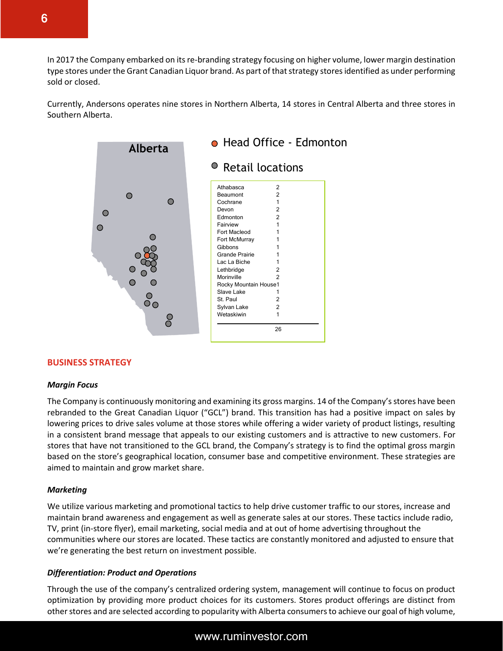In 2017 the Company embarked on its re-branding strategy focusing on higher volume, lower margin destination type stores under the Grant Canadian Liquor brand. As part of that strategy stores identified as under performing sold or closed.

Currently, Andersons operates nine stores in Northern Alberta, 14 stores in Central Alberta and three stores in Southern Alberta.



#### **BUSINESS STRATEGY**

#### *Margin Focus*

The Company is continuously monitoring and examining its gross margins. 14 of the Company's stores have been rebranded to the Great Canadian Liquor ("GCL") brand. This transition has had a positive impact on sales by lowering prices to drive sales volume at those stores while offering a wider variety of product listings, resulting in a consistent brand message that appeals to our existing customers and is attractive to new customers. For stores that have not transitioned to the GCL brand, the Company's strategy is to find the optimal gross margin based on the store's geographical location, consumer base and competitive environment. These strategies are aimed to maintain and grow market share.

#### *Marketing*

We utilize various marketing and promotional tactics to help drive customer traffic to our stores, increase and maintain brand awareness and engagement as well as generate sales at our stores. These tactics include radio, TV, print (in-store flyer), email marketing, social media and at out of home advertising throughout the communities where our stores are located. These tactics are constantly monitored and adjusted to ensure that we're generating the best return on investment possible.

#### *Differentiation: Product and Operations*

Through the use of the company's centralized ordering system, management will continue to focus on product optimization by providing more product choices for its customers. Stores product offerings are distinct from other stores and are selected according to popularity with Alberta consumers to achieve our goal of high volume,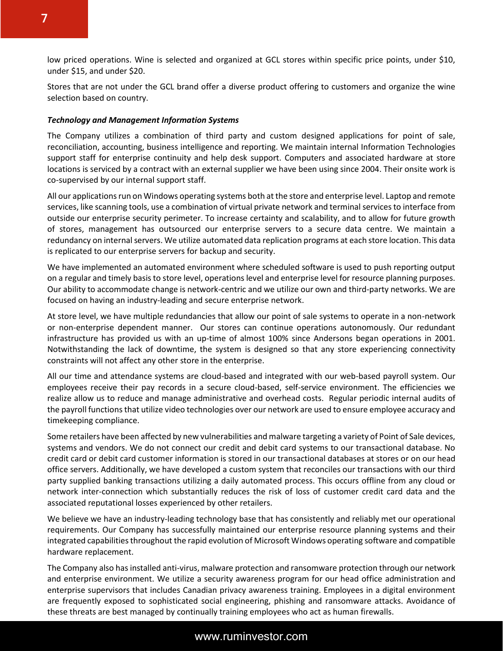low priced operations. Wine is selected and organized at GCL stores within specific price points, under \$10, under \$15, and under \$20.

Stores that are not under the GCL brand offer a diverse product offering to customers and organize the wine selection based on country.

#### *Technology and Management Information Systems*

The Company utilizes a combination of third party and custom designed applications for point of sale, reconciliation, accounting, business intelligence and reporting. We maintain internal Information Technologies support staff for enterprise continuity and help desk support. Computers and associated hardware at store locations is serviced by a contract with an external supplier we have been using since 2004. Their onsite work is co-supervised by our internal support staff.

All our applications run on Windows operating systems both at the store and enterprise level. Laptop and remote services, like scanning tools, use a combination of virtual private network and terminal services to interface from outside our enterprise security perimeter. To increase certainty and scalability, and to allow for future growth of stores, management has outsourced our enterprise servers to a secure data centre. We maintain a redundancy on internal servers. We utilize automated data replication programs at each store location. This data is replicated to our enterprise servers for backup and security.

We have implemented an automated environment where scheduled software is used to push reporting output on a regular and timely basis to store level, operations level and enterprise level for resource planning purposes. Our ability to accommodate change is network-centric and we utilize our own and third-party networks. We are focused on having an industry-leading and secure enterprise network.

At store level, we have multiple redundancies that allow our point of sale systems to operate in a non-network or non-enterprise dependent manner. Our stores can continue operations autonomously. Our redundant infrastructure has provided us with an up-time of almost 100% since Andersons began operations in 2001. Notwithstanding the lack of downtime, the system is designed so that any store experiencing connectivity constraints will not affect any other store in the enterprise.

All our time and attendance systems are cloud-based and integrated with our web-based payroll system. Our employees receive their pay records in a secure cloud-based, self-service environment. The efficiencies we realize allow us to reduce and manage administrative and overhead costs. Regular periodic internal audits of the payroll functions that utilize video technologies over our network are used to ensure employee accuracy and timekeeping compliance.

Some retailers have been affected by new vulnerabilities and malware targeting a variety of Point of Sale devices, systems and vendors. We do not connect our credit and debit card systems to our transactional database. No credit card or debit card customer information is stored in our transactional databases at stores or on our head office servers. Additionally, we have developed a custom system that reconciles our transactions with our third party supplied banking transactions utilizing a daily automated process. This occurs offline from any cloud or network inter-connection which substantially reduces the risk of loss of customer credit card data and the associated reputational losses experienced by other retailers.

We believe we have an industry-leading technology base that has consistently and reliably met our operational requirements. Our Company has successfully maintained our enterprise resource planning systems and their integrated capabilities throughout the rapid evolution of Microsoft Windows operating software and compatible hardware replacement.

The Company also has installed anti-virus, malware protection and ransomware protection through our network and enterprise environment. We utilize a security awareness program for our head office administration and enterprise supervisors that includes Canadian privacy awareness training. Employees in a digital environment are frequently exposed to sophisticated social engineering, phishing and ransomware attacks. Avoidance of these threats are best managed by continually training employees who act as human firewalls.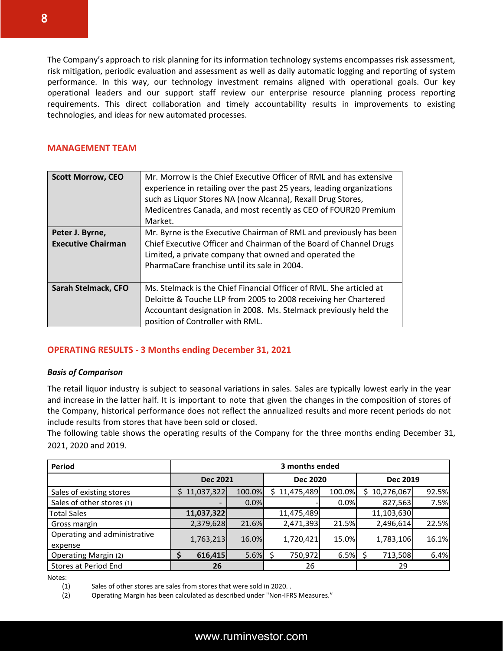The Company's approach to risk planning for its information technology systems encompasses risk assessment, risk mitigation, periodic evaluation and assessment as well as daily automatic logging and reporting of system performance. In this way, our technology investment remains aligned with operational goals. Our key operational leaders and our support staff review our enterprise resource planning process reporting requirements. This direct collaboration and timely accountability results in improvements to existing technologies, and ideas for new automated processes.

#### **MANAGEMENT TEAM**

| <b>Scott Morrow, CEO</b>                     | Mr. Morrow is the Chief Executive Officer of RML and has extensive<br>experience in retailing over the past 25 years, leading organizations<br>such as Liquor Stores NA (now Alcanna), Rexall Drug Stores,<br>Medicentres Canada, and most recently as CEO of FOUR20 Premium<br>Market. |
|----------------------------------------------|-----------------------------------------------------------------------------------------------------------------------------------------------------------------------------------------------------------------------------------------------------------------------------------------|
| Peter J. Byrne,<br><b>Executive Chairman</b> | Mr. Byrne is the Executive Chairman of RML and previously has been<br>Chief Executive Officer and Chairman of the Board of Channel Drugs<br>Limited, a private company that owned and operated the<br>PharmaCare franchise until its sale in 2004.                                      |
| Sarah Stelmack, CFO                          | Ms. Stelmack is the Chief Financial Officer of RML. She articled at<br>Deloitte & Touche LLP from 2005 to 2008 receiving her Chartered<br>Accountant designation in 2008. Ms. Stelmack previously held the<br>position of Controller with RML.                                          |

## **OPERATING RESULTS - 3 Months ending December 31, 2021**

#### *Basis of Comparison*

The retail liquor industry is subject to seasonal variations in sales. Sales are typically lowest early in the year and increase in the latter half. It is important to note that given the changes in the composition of stores of the Company, historical performance does not reflect the annualized results and more recent periods do not include results from stores that have been sold or closed.

The following table shows the operating results of the Company for the three months ending December 31, 2021, 2020 and 2019.

| Period                                  |                          | 3 months ended |                 |            |        |   |                 |       |  |  |
|-----------------------------------------|--------------------------|----------------|-----------------|------------|--------|---|-----------------|-------|--|--|
|                                         | <b>Dec 2021</b>          |                | <b>Dec 2020</b> |            |        |   | <b>Dec 2019</b> |       |  |  |
| Sales of existing stores                | 11,037,322<br>S.         | 100.0%         | S               | 11,475,489 | 100.0% | S | 10,276,067      | 92.5% |  |  |
| Sales of other stores (1)               | $\overline{\phantom{a}}$ | 0.0%           |                 |            | 0.0%   |   | 827,563         | 7.5%  |  |  |
| <b>Total Sales</b>                      | 11,037,322               |                |                 | 11,475,489 |        |   | 11,103,630      |       |  |  |
| Gross margin                            | 2,379,628                | 21.6%          |                 | 2,471,393  | 21.5%  |   | 2,496,614       | 22.5% |  |  |
| Operating and administrative<br>expense | 1,763,213                | 16.0%          |                 | 1,720,421  | 15.0%  |   | 1,783,106       | 16.1% |  |  |
| <b>Operating Margin (2)</b>             | 616,415<br>\$            | 5.6%           |                 | 750,972    | 6.5%   |   | 713,508         | 6.4%  |  |  |
| Stores at Period End                    | 26                       |                |                 | 26         |        |   | 29              |       |  |  |

Notes:

(1) Sales of other stores are sales from stores that were sold in 2020. .

(2) Operating Margin has been calculated as described under "Non-IFRS Measures."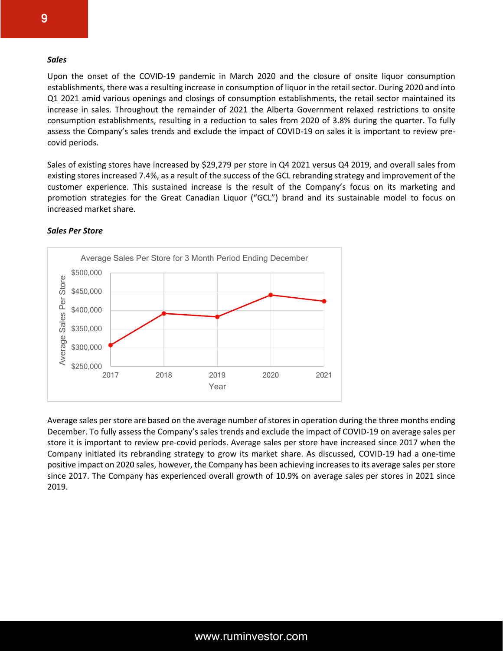#### *Sales*

Upon the onset of the COVID-19 pandemic in March 2020 and the closure of onsite liquor consumption establishments, there was a resulting increase in consumption of liquor in the retail sector. During 2020 and into Q1 2021 amid various openings and closings of consumption establishments, the retail sector maintained its increase in sales. Throughout the remainder of 2021 the Alberta Government relaxed restrictions to onsite consumption establishments, resulting in a reduction to sales from 2020 of 3.8% during the quarter. To fully assess the Company's sales trends and exclude the impact of COVID-19 on sales it is important to review precovid periods.

Sales of existing stores have increased by \$29,279 per store in Q4 2021 versus Q4 2019, and overall sales from existing stores increased 7.4%, as a result of the success of the GCL rebranding strategy and improvement of the customer experience. This sustained increase is the result of the Company's focus on its marketing and promotion strategies for the Great Canadian Liquor ("GCL") brand and its sustainable model to focus on increased market share.



#### *Sales Per Store*

Average sales per store are based on the average number of stores in operation during the three months ending December. To fully assess the Company's sales trends and exclude the impact of COVID-19 on average sales per store it is important to review pre-covid periods. Average sales per store have increased since 2017 when the Company initiated its rebranding strategy to grow its market share. As discussed, COVID-19 had a one-time positive impact on 2020 sales, however, the Company has been achieving increases to its average sales per store since 2017. The Company has experienced overall growth of 10.9% on average sales per stores in 2021 since 2019.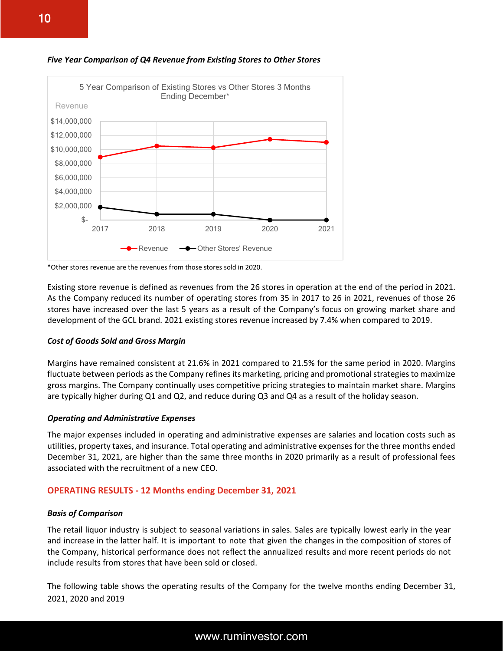

*Five Year Comparison of Q4 Revenue from Existing Stores to Other Stores*

\*Other stores revenue are the revenues from those stores sold in 2020.

Existing store revenue is defined as revenues from the 26 stores in operation at the end of the period in 2021. As the Company reduced its number of operating stores from 35 in 2017 to 26 in 2021, revenues of those 26 stores have increased over the last 5 years as a result of the Company's focus on growing market share and development of the GCL brand. 2021 existing stores revenue increased by 7.4% when compared to 2019.

#### *Cost of Goods Sold and Gross Margin*

Margins have remained consistent at 21.6% in 2021 compared to 21.5% for the same period in 2020. Margins fluctuate between periods as the Company refines its marketing, pricing and promotional strategies to maximize gross margins. The Company continually uses competitive pricing strategies to maintain market share. Margins are typically higher during Q1 and Q2, and reduce during Q3 and Q4 as a result of the holiday season.

#### *Operating and Administrative Expenses*

The major expenses included in operating and administrative expenses are salaries and location costs such as utilities, property taxes, and insurance. Total operating and administrative expenses for the three months ended December 31, 2021, are higher than the same three months in 2020 primarily as a result of professional fees associated with the recruitment of a new CEO.

#### **OPERATING RESULTS - 12 Months ending December 31, 2021**

#### *Basis of Comparison*

The retail liquor industry is subject to seasonal variations in sales. Sales are typically lowest early in the year and increase in the latter half. It is important to note that given the changes in the composition of stores of the Company, historical performance does not reflect the annualized results and more recent periods do not include results from stores that have been sold or closed.

The following table shows the operating results of the Company for the twelve months ending December 31, 2021, 2020 and 2019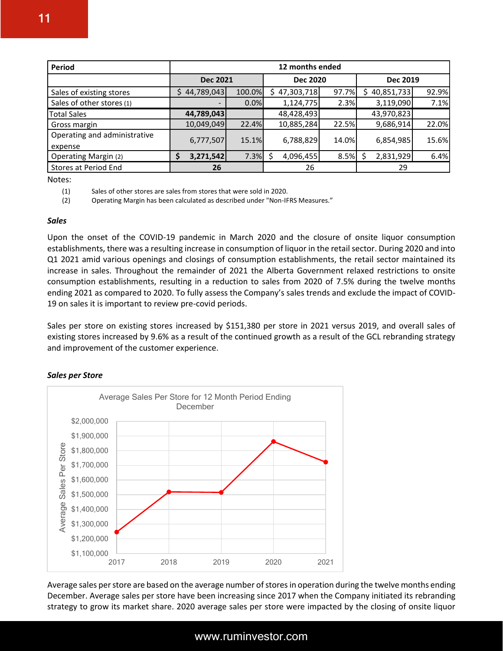| Period                                  |                  | 12 months ended                                       |   |            |       |            |    |       |  |
|-----------------------------------------|------------------|-------------------------------------------------------|---|------------|-------|------------|----|-------|--|
|                                         |                  | <b>Dec 2019</b><br><b>Dec 2021</b><br><b>Dec 2020</b> |   |            |       |            |    |       |  |
| Sales of existing stores                | 44,789,043<br>\$ | 100.0%                                                | S | 47,303,718 | 97.7% | 40,851,733 |    | 92.9% |  |
| Sales of other stores (1)               |                  | 0.0%                                                  |   | 1,124,775  | 2.3%  | 3,119,090  |    | 7.1%  |  |
| <b>Total Sales</b>                      | 44,789,043       |                                                       |   | 48,428,493 |       | 43,970,823 |    |       |  |
| Gross margin                            | 10,049,049       | 22.4%                                                 |   | 10,885,284 | 22.5% | 9,686,914  |    | 22.0% |  |
| Operating and administrative<br>expense | 6,777,507        | 15.1%                                                 |   | 6,788,829  | 14.0% | 6,854,985  |    | 15.6% |  |
| <b>Operating Margin (2)</b>             | 3,271,542        | 7.3%                                                  |   | 4,096,455  | 8.5%  | 2,831,929  |    | 6.4%  |  |
| Stores at Period End                    | 26               |                                                       |   | 26         |       |            | 29 |       |  |

Notes:

(1) Sales of other stores are sales from stores that were sold in 2020.

(2) Operating Margin has been calculated as described under "Non-IFRS Measures."

#### *Sales*

Upon the onset of the COVID-19 pandemic in March 2020 and the closure of onsite liquor consumption establishments, there was a resulting increase in consumption of liquor in the retail sector. During 2020 and into Q1 2021 amid various openings and closings of consumption establishments, the retail sector maintained its increase in sales. Throughout the remainder of 2021 the Alberta Government relaxed restrictions to onsite consumption establishments, resulting in a reduction to sales from 2020 of 7.5% during the twelve months ending 2021 as compared to 2020. To fully assess the Company's sales trends and exclude the impact of COVID-19 on sales it is important to review pre-covid periods.

Sales per store on existing stores increased by \$151,380 per store in 2021 versus 2019, and overall sales of existing stores increased by 9.6% as a result of the continued growth as a result of the GCL rebranding strategy and improvement of the customer experience.

#### *Sales per Store*



Average sales per store are based on the average number of stores in operation during the twelve months ending December. Average sales per store have been increasing since 2017 when the Company initiated its rebranding strategy to grow its market share. 2020 average sales per store were impacted by the closing of onsite liquor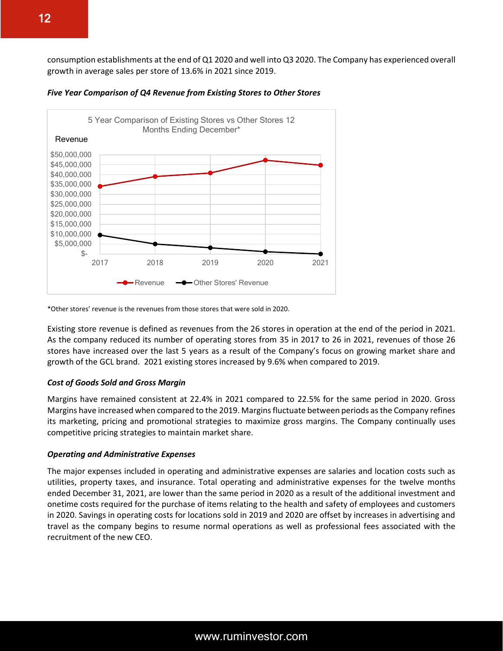consumption establishments at the end of Q1 2020 and well into Q3 2020. The Company has experienced overall growth in average sales per store of 13.6% in 2021 since 2019.



*Five Year Comparison of Q4 Revenue from Existing Stores to Other Stores*

Existing store revenue is defined as revenues from the 26 stores in operation at the end of the period in 2021. As the company reduced its number of operating stores from 35 in 2017 to 26 in 2021, revenues of those 26 stores have increased over the last 5 years as a result of the Company's focus on growing market share and growth of the GCL brand. 2021 existing stores increased by 9.6% when compared to 2019.

#### *Cost of Goods Sold and Gross Margin*

Margins have remained consistent at 22.4% in 2021 compared to 22.5% for the same period in 2020. Gross Margins have increased when compared to the 2019. Margins fluctuate between periods as the Company refines its marketing, pricing and promotional strategies to maximize gross margins. The Company continually uses competitive pricing strategies to maintain market share.

#### *Operating and Administrative Expenses*

The major expenses included in operating and administrative expenses are salaries and location costs such as utilities, property taxes, and insurance. Total operating and administrative expenses for the twelve months ended December 31, 2021, are lower than the same period in 2020 as a result of the additional investment and onetime costs required for the purchase of items relating to the health and safety of employees and customers in 2020. Savings in operating costs for locations sold in 2019 and 2020 are offset by increases in advertising and travel as the company begins to resume normal operations as well as professional fees associated with the recruitment of the new CEO.

<sup>\*</sup>Other stores' revenue is the revenues from those stores that were sold in 2020.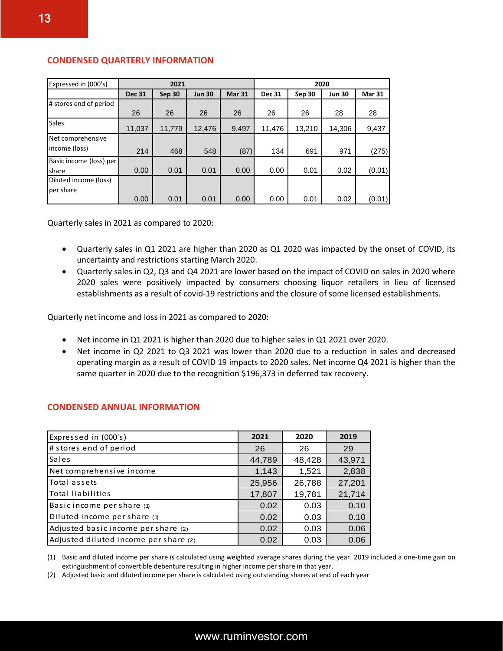| Expressed in (000's)    |               | 2021   |               |               | 2020          |        |               |               |
|-------------------------|---------------|--------|---------------|---------------|---------------|--------|---------------|---------------|
|                         | <b>Dec 31</b> | Sep 30 | <b>Jun 30</b> | <b>Mar 31</b> | <b>Dec 31</b> | Sep 30 | <b>Jun 30</b> | <b>Mar 31</b> |
| # stores end of period  |               |        |               |               |               |        |               |               |
|                         | 26            | 26     | 26            | 26            | 26            | 26     | 28            | 28            |
| <b>Sales</b>            | 11,037        | 11,779 | 12,476        | 9,497         | 11,476        | 13,210 | 14,306        | 9,437         |
| Net comprehensive       |               |        |               |               |               |        |               |               |
| income (loss)           | 214           | 468    | 548           | (87)          | 134           | 691    | 971           | (275)         |
| Basic income (loss) per |               |        |               |               |               |        |               |               |
| share                   | 0.00          | 0.01   | 0.01          | 0.00          | 0.00          | 0.01   | 0.02          | (0.01)        |
| Diluted income (loss)   |               |        |               |               |               |        |               |               |
| per share               |               |        |               |               |               |        |               |               |
|                         | 0.00          | 0.01   | 0.01          | 0.00          | 0.00          | 0.01   | 0.02          | (0.01)        |

#### **CONDENSED QUARTERLY INFORMATION**

Quarterly sales in 2021 as compared to 2020:

- Quarterly sales in Q1 2021 are higher than 2020 as Q1 2020 was impacted by the onset of COVID, its uncertainty and restrictions starting March 2020.
- Quarterly sales in Q2, Q3 and Q4 2021 are lower based on the impact of COVID on sales in 2020 where 2020 sales were positively impacted by consumers choosing liquor retailers in lieu of licensed establishments as a result of covid-19 restrictions and the closure of some licensed establishments.

Quarterly net income and loss in 2021 as compared to 2020:

- Net income in Q1 2021 is higher than 2020 due to higher sales in Q1 2021 over 2020.
- Net income in Q2 2021 to Q3 2021 was lower than 2020 due to a reduction in sales and decreased operating margin as a result of COVID 19 impacts to 2020 sales. Net income Q4 2021 is higher than the same quarter in 2020 due to the recognition \$196,373 in deferred tax recovery.

| Expressed in (000's)                  | 2021   | 2020   | 2019   |
|---------------------------------------|--------|--------|--------|
| # stores end of period                | 26     | 26     | 29     |
| <b>Sales</b>                          | 44,789 | 48,428 | 43,971 |
| Net comprehensive income              | 1,143  | 1,521  | 2,838  |
| Total assets                          | 25,956 | 26,788 | 27,201 |
| <b>Total liabilities</b>              | 17,807 | 19,781 | 21,714 |
| Basic income per share (1)            | 0.02   | 0.03   | 0.10   |
| Diluted income per share (1)          | 0.02   | 0.03   | 0.10   |
| Adjusted basic income per share (2)   | 0.02   | 0.03   | 0.06   |
| Adjusted diluted income per share (2) | 0.02   | 0.03   | 0.06   |

#### **CONDENSED ANNUAL INFORMATION**

(1) Basic and diluted income per share is calculated using weighted average shares during the year. 2019 included a one-time gain on extinguishment of convertible debenture resulting in higher income per share in that year.

(2) Adjusted basic and diluted income per share is calculated using outstanding shares at end of each year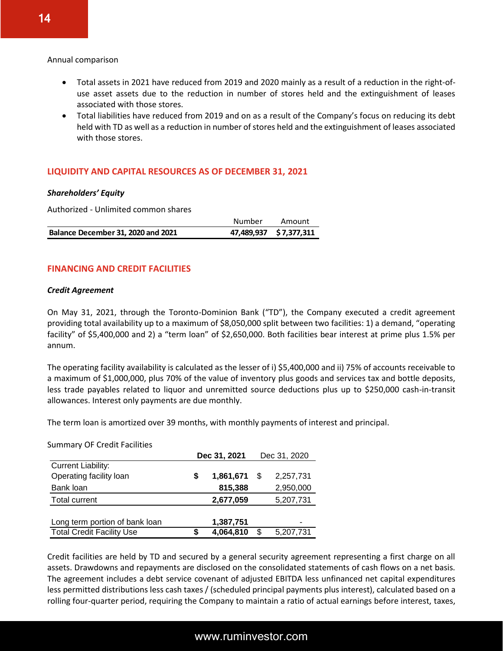#### Annual comparison

- Total assets in 2021 have reduced from 2019 and 2020 mainly as a result of a reduction in the right-ofuse asset assets due to the reduction in number of stores held and the extinguishment of leases associated with those stores.
- Total liabilities have reduced from 2019 and on as a result of the Company's focus on reducing its debt held with TD as well as a reduction in number of stores held and the extinguishment of leases associated with those stores.

#### **LIQUIDITY AND CAPITAL RESOURCES AS OF DECEMBER 31, 2021**

#### *Shareholders' Equity*

Authorized - Unlimited common shares

|                                    | Number | Amount                 |
|------------------------------------|--------|------------------------|
| Balance December 31, 2020 and 2021 |        | 47,489,937 \$7,377,311 |

#### **FINANCING AND CREDIT FACILITIES**

#### *Credit Agreement*

On May 31, 2021, through the Toronto-Dominion Bank ("TD"), the Company executed a credit agreement providing total availability up to a maximum of \$8,050,000 split between two facilities: 1) a demand, "operating facility" of \$5,400,000 and 2) a "term loan" of \$2,650,000. Both facilities bear interest at prime plus 1.5% per annum.

The operating facility availability is calculated as the lesser of i) \$5,400,000 and ii) 75% of accounts receivable to a maximum of \$1,000,000, plus 70% of the value of inventory plus goods and services tax and bottle deposits, less trade payables related to liquor and unremitted source deductions plus up to \$250,000 cash-in-transit allowances. Interest only payments are due monthly.

The term loan is amortized over 39 months, with monthly payments of interest and principal.

Summary OF Credit Facilities

|                                                      | Dec 31, 2021 |           |    | Dec 31, 2020 |
|------------------------------------------------------|--------------|-----------|----|--------------|
| <b>Current Liability:</b><br>Operating facility loan | S            | 1,861,671 |    | 2,257,731    |
| Bank loan                                            |              | 815,388   |    | 2,950,000    |
| <b>Total current</b>                                 |              | 2,677,059 |    | 5,207,731    |
| Long term portion of bank loan                       |              | 1,387,751 |    | -            |
| <b>Total Credit Facility Use</b>                     |              | 4,064,810 | \$ | 5,207,731    |

Credit facilities are held by TD and secured by a general security agreement representing a first charge on all assets. Drawdowns and repayments are disclosed on the consolidated statements of cash flows on a net basis. The agreement includes a debt service covenant of adjusted EBITDA less unfinanced net capital expenditures less permitted distributions less cash taxes / (scheduled principal payments plus interest), calculated based on a rolling four-quarter period, requiring the Company to maintain a ratio of actual earnings before interest, taxes,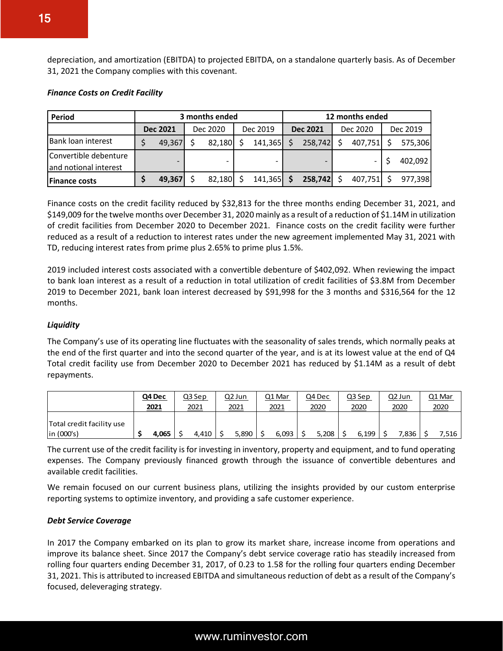depreciation, and amortization (EBITDA) to projected EBITDA, on a standalone quarterly basis. As of December 31, 2021 the Company complies with this covenant.

#### *Finance Costs on Credit Facility*

| <b>Period</b>                                  | 3 months ended  |  |          |  | 12 months ended |    |                 |  |              |  |          |
|------------------------------------------------|-----------------|--|----------|--|-----------------|----|-----------------|--|--------------|--|----------|
|                                                | <b>Dec 2021</b> |  | Dec 2020 |  | Dec 2019        |    | <b>Dec 2021</b> |  | Dec 2020     |  | Dec 2019 |
| Bank loan interest                             | 49,367          |  | 82,180   |  | 141,365         | ς  | $258,742$ \$    |  | $407,751$ \$ |  | 575,306  |
| Convertible debenture<br>and notional interest |                 |  |          |  |                 |    |                 |  |              |  | 402,092  |
| <b>Finance costs</b>                           | 49,367          |  | 82,180   |  | 141,365         | -S | $258,742$ \$    |  | 407,751      |  | 977,398  |

Finance costs on the credit facility reduced by \$32,813 for the three months ending December 31, 2021, and \$149,009 for the twelve months over December 31, 2020 mainly as a result of a reduction of \$1.14M in utilization of credit facilities from December 2020 to December 2021. Finance costs on the credit facility were further reduced as a result of a reduction to interest rates under the new agreement implemented May 31, 2021 with TD, reducing interest rates from prime plus 2.65% to prime plus 1.5%.

2019 included interest costs associated with a convertible debenture of \$402,092. When reviewing the impact to bank loan interest as a result of a reduction in total utilization of credit facilities of \$3.8M from December 2019 to December 2021, bank loan interest decreased by \$91,998 for the 3 months and \$316,564 for the 12 months.

#### *Liquidity*

The Company's use of its operating line fluctuates with the seasonality of sales trends, which normally peaks at the end of the first quarter and into the second quarter of the year, and is at its lowest value at the end of Q4 Total credit facility use from December 2020 to December 2021 has reduced by \$1.14M as a result of debt repayments.

|                                           | Q4 Dec | Q3 Sep | <u>Q2 Jun</u> | Q1 Mar | Q4 Dec | Q3 Sep | Q2 Jun | Q1 Mar |
|-------------------------------------------|--------|--------|---------------|--------|--------|--------|--------|--------|
|                                           | 2021   | 2021   | 2021          | 2021   | 2020   | 2020   | 2020   | 2020   |
| Total credit facility use<br>$\ln(000's)$ | 4,065  | 4,410  | 5,890         | 6,093  | 5,208  | 6.199  | 7,836  | 7,516  |

The current use of the credit facility is for investing in inventory, property and equipment, and to fund operating expenses. The Company previously financed growth through the issuance of convertible debentures and available credit facilities.

We remain focused on our current business plans, utilizing the insights provided by our custom enterprise reporting systems to optimize inventory, and providing a safe customer experience.

#### *Debt Service Coverage*

In 2017 the Company embarked on its plan to grow its market share, increase income from operations and improve its balance sheet. Since 2017 the Company's debt service coverage ratio has steadily increased from rolling four quarters ending December 31, 2017, of 0.23 to 1.58 for the rolling four quarters ending December 31, 2021. This is attributed to increased EBITDA and simultaneous reduction of debt as a result of the Company's focused, deleveraging strategy.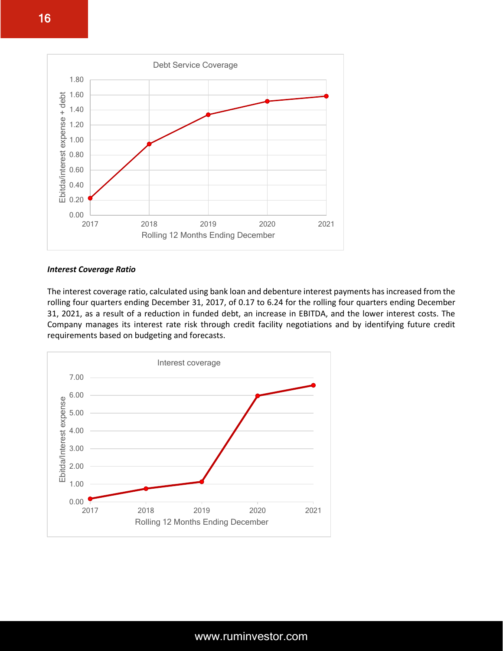

#### *Interest Coverage Ratio*

The interest coverage ratio, calculated using bank loan and debenture interest payments has increased from the rolling four quarters ending December 31, 2017, of 0.17 to 6.24 for the rolling four quarters ending December 31, 2021, as a result of a reduction in funded debt, an increase in EBITDA, and the lower interest costs. The Company manages its interest rate risk through credit facility negotiations and by identifying future credit requirements based on budgeting and forecasts.

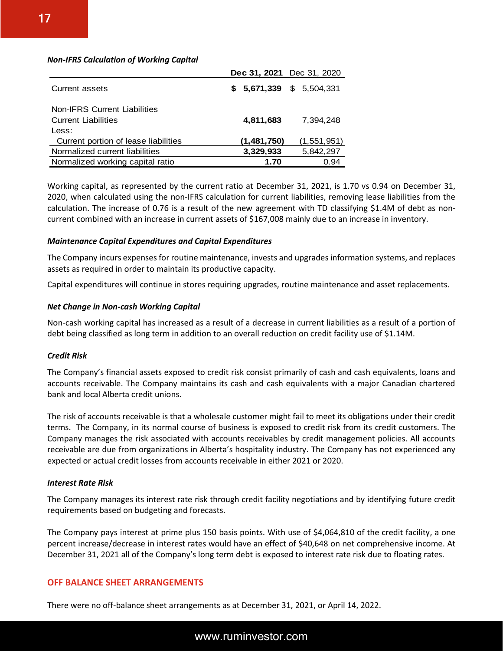#### *Non-IFRS Calculation of Working Capital*

|                                                                            | Dec 31, 2021 Dec 31, 2020 |             |
|----------------------------------------------------------------------------|---------------------------|-------------|
| Current assets                                                             | $$5,671,339$ $$5,504,331$ |             |
| <b>Non-IFRS Current Liabilities</b><br><b>Current Liabilities</b><br>Less: | 4,811,683                 | 7.394.248   |
| Current portion of lease liabilities                                       | (1,481,750)               | (1,551,951) |
| Normalized current liabilities                                             | 3,329,933                 | 5,842,297   |
| Normalized working capital ratio                                           | 1.70                      | 0.94        |

Working capital, as represented by the current ratio at December 31, 2021, is 1.70 vs 0.94 on December 31, 2020, when calculated using the non-IFRS calculation for current liabilities, removing lease liabilities from the calculation. The increase of 0.76 is a result of the new agreement with TD classifying \$1.4M of debt as noncurrent combined with an increase in current assets of \$167,008 mainly due to an increase in inventory.

#### *Maintenance Capital Expenditures and Capital Expenditures*

The Company incurs expenses for routine maintenance, invests and upgrades information systems, and replaces assets as required in order to maintain its productive capacity.

Capital expenditures will continue in stores requiring upgrades, routine maintenance and asset replacements.

#### *Net Change in Non-cash Working Capital*

Non-cash working capital has increased as a result of a decrease in current liabilities as a result of a portion of debt being classified as long term in addition to an overall reduction on credit facility use of \$1.14M.

#### *Credit Risk*

The Company's financial assets exposed to credit risk consist primarily of cash and cash equivalents, loans and accounts receivable. The Company maintains its cash and cash equivalents with a major Canadian chartered bank and local Alberta credit unions.

The risk of accounts receivable is that a wholesale customer might fail to meet its obligations under their credit terms. The Company, in its normal course of business is exposed to credit risk from its credit customers. The Company manages the risk associated with accounts receivables by credit management policies. All accounts receivable are due from organizations in Alberta's hospitality industry. The Company has not experienced any expected or actual credit losses from accounts receivable in either 2021 or 2020.

#### *Interest Rate Risk*

The Company manages its interest rate risk through credit facility negotiations and by identifying future credit requirements based on budgeting and forecasts.

The Company pays interest at prime plus 150 basis points. With use of \$4,064,810 of the credit facility, a one percent increase/decrease in interest rates would have an effect of \$40,648 on net comprehensive income. At December 31, 2021 all of the Company's long term debt is exposed to interest rate risk due to floating rates.

#### **OFF BALANCE SHEET ARRANGEMENTS**

There were no off-balance sheet arrangements as at December 31, 2021, or April 14, 2022.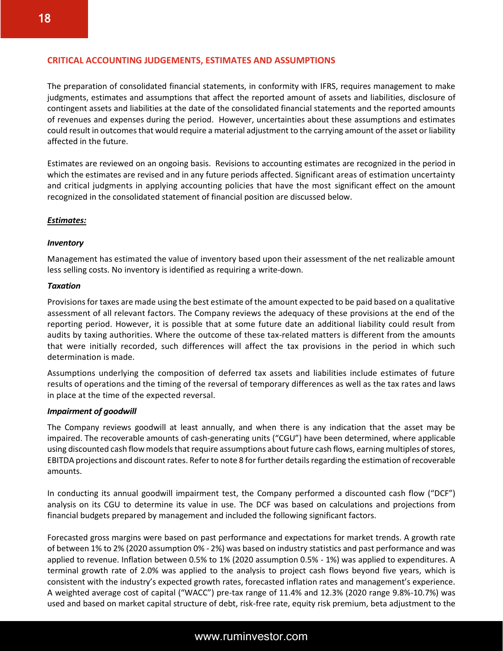#### **CRITICAL ACCOUNTING JUDGEMENTS, ESTIMATES AND ASSUMPTIONS**

The preparation of consolidated financial statements, in conformity with IFRS, requires management to make judgments, estimates and assumptions that affect the reported amount of assets and liabilities, disclosure of contingent assets and liabilities at the date of the consolidated financial statements and the reported amounts of revenues and expenses during the period. However, uncertainties about these assumptions and estimates could result in outcomes that would require a material adjustment to the carrying amount of the asset or liability affected in the future.

Estimates are reviewed on an ongoing basis. Revisions to accounting estimates are recognized in the period in which the estimates are revised and in any future periods affected. Significant areas of estimation uncertainty and critical judgments in applying accounting policies that have the most significant effect on the amount recognized in the consolidated statement of financial position are discussed below.

#### *Estimates:*

#### *Inventory*

Management has estimated the value of inventory based upon their assessment of the net realizable amount less selling costs. No inventory is identified as requiring a write-down.

#### *Taxation*

Provisions for taxes are made using the best estimate of the amount expected to be paid based on a qualitative assessment of all relevant factors. The Company reviews the adequacy of these provisions at the end of the reporting period. However, it is possible that at some future date an additional liability could result from audits by taxing authorities. Where the outcome of these tax-related matters is different from the amounts that were initially recorded, such differences will affect the tax provisions in the period in which such determination is made.

Assumptions underlying the composition of deferred tax assets and liabilities include estimates of future results of operations and the timing of the reversal of temporary differences as well as the tax rates and laws in place at the time of the expected reversal.

#### *Impairment of goodwill*

The Company reviews goodwill at least annually, and when there is any indication that the asset may be impaired. The recoverable amounts of cash-generating units ("CGU") have been determined, where applicable using discounted cash flow models that require assumptions about future cash flows, earning multiples of stores, EBITDA projections and discount rates. Refer to note 8 for further details regarding the estimation of recoverable amounts.

In conducting its annual goodwill impairment test, the Company performed a discounted cash flow ("DCF") analysis on its CGU to determine its value in use. The DCF was based on calculations and projections from financial budgets prepared by management and included the following significant factors.

Forecasted gross margins were based on past performance and expectations for market trends. A growth rate of between 1% to 2% (2020 assumption 0% - 2%) was based on industry statistics and past performance and was applied to revenue. Inflation between 0.5% to 1% (2020 assumption 0.5% - 1%) was applied to expenditures. A terminal growth rate of 2.0% was applied to the analysis to project cash flows beyond five years, which is consistent with the industry's expected growth rates, forecasted inflation rates and management's experience. A weighted average cost of capital ("WACC") pre-tax range of 11.4% and 12.3% (2020 range 9.8%-10.7%) was used and based on market capital structure of debt, risk-free rate, equity risk premium, beta adjustment to the

18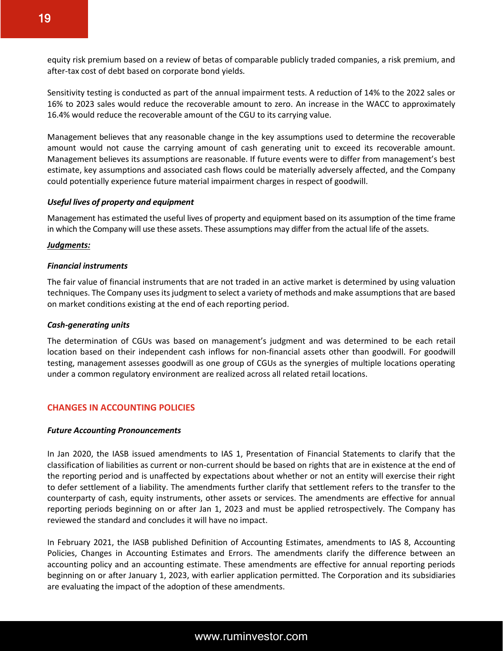equity risk premium based on a review of betas of comparable publicly traded companies, a risk premium, and after‐tax cost of debt based on corporate bond yields.

Sensitivity testing is conducted as part of the annual impairment tests. A reduction of 14% to the 2022 sales or 16% to 2023 sales would reduce the recoverable amount to zero. An increase in the WACC to approximately 16.4% would reduce the recoverable amount of the CGU to its carrying value.

Management believes that any reasonable change in the key assumptions used to determine the recoverable amount would not cause the carrying amount of cash generating unit to exceed its recoverable amount. Management believes its assumptions are reasonable. If future events were to differ from management's best estimate, key assumptions and associated cash flows could be materially adversely affected, and the Company could potentially experience future material impairment charges in respect of goodwill.

#### *Useful lives of property and equipment*

Management has estimated the useful lives of property and equipment based on its assumption of the time frame in which the Company will use these assets. These assumptions may differ from the actual life of the assets.

#### *Judgments:*

#### *Financial instruments*

The fair value of financial instruments that are not traded in an active market is determined by using valuation techniques. The Company uses its judgment to select a variety of methods and make assumptions that are based on market conditions existing at the end of each reporting period.

#### *Cash-generating units*

The determination of CGUs was based on management's judgment and was determined to be each retail location based on their independent cash inflows for non-financial assets other than goodwill. For goodwill testing, management assesses goodwill as one group of CGUs as the synergies of multiple locations operating under a common regulatory environment are realized across all related retail locations.

#### **CHANGES IN ACCOUNTING POLICIES**

#### *Future Accounting Pronouncements*

In Jan 2020, the IASB issued amendments to IAS 1, Presentation of Financial Statements to clarify that the classification of liabilities as current or non-current should be based on rights that are in existence at the end of the reporting period and is unaffected by expectations about whether or not an entity will exercise their right to defer settlement of a liability. The amendments further clarify that settlement refers to the transfer to the counterparty of cash, equity instruments, other assets or services. The amendments are effective for annual reporting periods beginning on or after Jan 1, 2023 and must be applied retrospectively. The Company has reviewed the standard and concludes it will have no impact.

In February 2021, the IASB published Definition of Accounting Estimates, amendments to IAS 8, Accounting Policies, Changes in Accounting Estimates and Errors. The amendments clarify the difference between an accounting policy and an accounting estimate. These amendments are effective for annual reporting periods beginning on or after January 1, 2023, with earlier application permitted. The Corporation and its subsidiaries are evaluating the impact of the adoption of these amendments.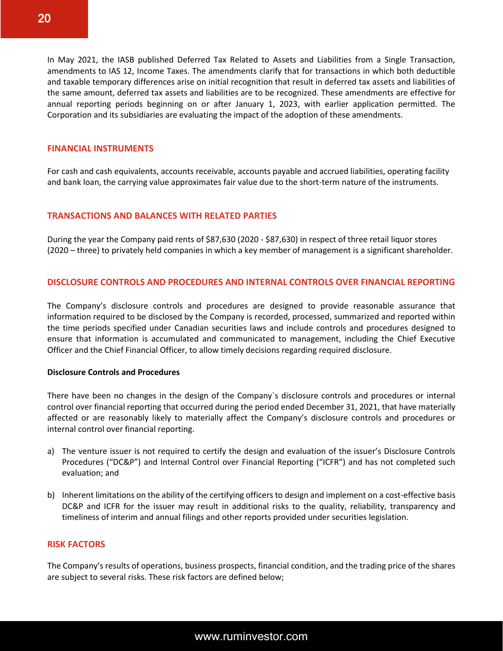In May 2021, the IASB published Deferred Tax Related to Assets and Liabilities from a Single Transaction, amendments to IAS 12, Income Taxes. The amendments clarify that for transactions in which both deductible and taxable temporary differences arise on initial recognition that result in deferred tax assets and liabilities of the same amount, deferred tax assets and liabilities are to be recognized. These amendments are effective for annual reporting periods beginning on or after January 1, 2023, with earlier application permitted. The Corporation and its subsidiaries are evaluating the impact of the adoption of these amendments.

#### **FINANCIAL INSTRUMENTS**

For cash and cash equivalents, accounts receivable, accounts payable and accrued liabilities, operating facility and bank loan, the carrying value approximates fair value due to the short-term nature of the instruments.

#### **TRANSACTIONS AND BALANCES WITH RELATED PARTIES**

During the year the Company paid rents of \$87,630 (2020 - \$87,630) in respect of three retail liquor stores (2020 – three) to privately held companies in which a key member of management is a significant shareholder.

#### **DISCLOSURE CONTROLS AND PROCEDURES AND INTERNAL CONTROLS OVER FINANCIAL REPORTING**

The Company's disclosure controls and procedures are designed to provide reasonable assurance that information required to be disclosed by the Company is recorded, processed, summarized and reported within the time periods specified under Canadian securities laws and include controls and procedures designed to ensure that information is accumulated and communicated to management, including the Chief Executive Officer and the Chief Financial Officer, to allow timely decisions regarding required disclosure.

#### **Disclosure Controls and Procedures**

There have been no changes in the design of the Company`s disclosure controls and procedures or internal control over financial reporting that occurred during the period ended December 31, 2021, that have materially affected or are reasonably likely to materially affect the Company's disclosure controls and procedures or internal control over financial reporting.

- a) The venture issuer is not required to certify the design and evaluation of the issuer's Disclosure Controls Procedures ("DC&P") and Internal Control over Financial Reporting ("ICFR") and has not completed such evaluation; and
- b) Inherent limitations on the ability of the certifying officers to design and implement on a cost-effective basis DC&P and ICFR for the issuer may result in additional risks to the quality, reliability, transparency and timeliness of interim and annual filings and other reports provided under securities legislation.

#### **RISK FACTORS**

The Company's results of operations, business prospects, financial condition, and the trading price of the shares are subject to several risks. These risk factors are defined below;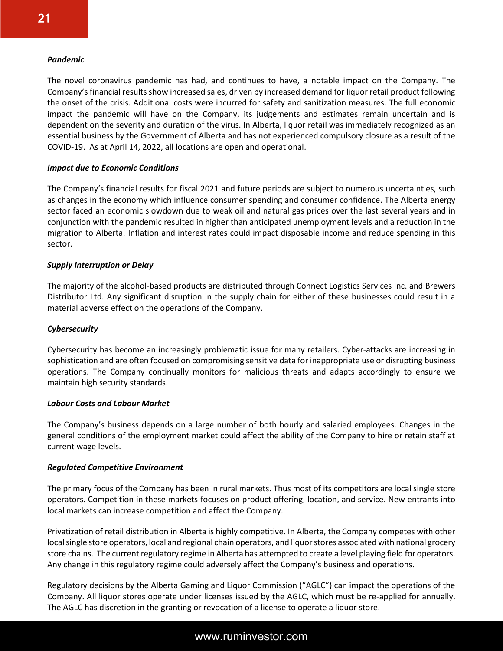#### *Pandemic*

The novel coronavirus pandemic has had, and continues to have, a notable impact on the Company. The Company's financial results show increased sales, driven by increased demand for liquor retail product following the onset of the crisis. Additional costs were incurred for safety and sanitization measures. The full economic impact the pandemic will have on the Company, its judgements and estimates remain uncertain and is dependent on the severity and duration of the virus. In Alberta, liquor retail was immediately recognized as an essential business by the Government of Alberta and has not experienced compulsory closure as a result of the COVID-19. As at April 14, 2022, all locations are open and operational.

#### *Impact due to Economic Conditions*

The Company's financial results for fiscal 2021 and future periods are subject to numerous uncertainties, such as changes in the economy which influence consumer spending and consumer confidence. The Alberta energy sector faced an economic slowdown due to weak oil and natural gas prices over the last several years and in conjunction with the pandemic resulted in higher than anticipated unemployment levels and a reduction in the migration to Alberta. Inflation and interest rates could impact disposable income and reduce spending in this sector.

#### *Supply Interruption or Delay*

The majority of the alcohol-based products are distributed through Connect Logistics Services Inc. and Brewers Distributor Ltd. Any significant disruption in the supply chain for either of these businesses could result in a material adverse effect on the operations of the Company.

#### *Cybersecurity*

Cybersecurity has become an increasingly problematic issue for many retailers. Cyber‐attacks are increasing in sophistication and are often focused on compromising sensitive data for inappropriate use or disrupting business operations. The Company continually monitors for malicious threats and adapts accordingly to ensure we maintain high security standards.

#### *Labour Costs and Labour Market*

The Company's business depends on a large number of both hourly and salaried employees. Changes in the general conditions of the employment market could affect the ability of the Company to hire or retain staff at current wage levels.

#### *Regulated Competitive Environment*

The primary focus of the Company has been in rural markets. Thus most of its competitors are local single store operators. Competition in these markets focuses on product offering, location, and service. New entrants into local markets can increase competition and affect the Company.

Privatization of retail distribution in Alberta is highly competitive. In Alberta, the Company competes with other local single store operators, local and regional chain operators, and liquor stores associated with national grocery store chains. The current regulatory regime in Alberta has attempted to create a level playing field for operators. Any change in this regulatory regime could adversely affect the Company's business and operations.

Regulatory decisions by the Alberta Gaming and Liquor Commission ("AGLC") can impact the operations of the Company. All liquor stores operate under licenses issued by the AGLC, which must be re-applied for annually. The AGLC has discretion in the granting or revocation of a license to operate a liquor store.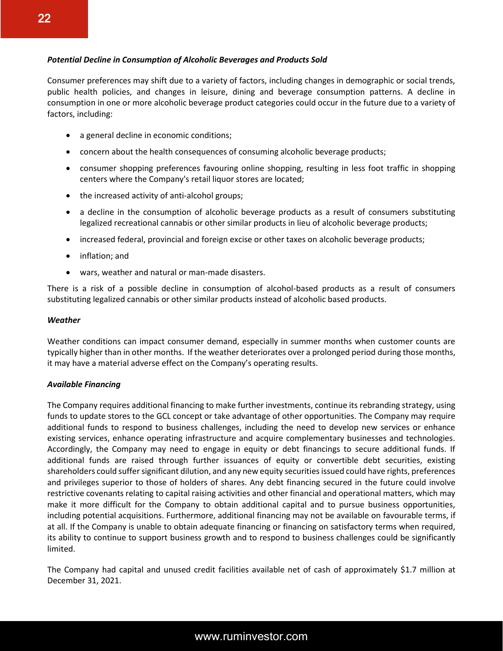#### *Potential Decline in Consumption of Alcoholic Beverages and Products Sold*

Consumer preferences may shift due to a variety of factors, including changes in demographic or social trends, public health policies, and changes in leisure, dining and beverage consumption patterns. A decline in consumption in one or more alcoholic beverage product categories could occur in the future due to a variety of factors, including:

- a general decline in economic conditions;
- concern about the health consequences of consuming alcoholic beverage products;
- consumer shopping preferences favouring online shopping, resulting in less foot traffic in shopping centers where the Company's retail liquor stores are located;
- the increased activity of anti-alcohol groups;
- a decline in the consumption of alcoholic beverage products as a result of consumers substituting legalized recreational cannabis or other similar products in lieu of alcoholic beverage products;
- increased federal, provincial and foreign excise or other taxes on alcoholic beverage products;
- inflation; and
- wars, weather and natural or man-made disasters.

There is a risk of a possible decline in consumption of alcohol-based products as a result of consumers substituting legalized cannabis or other similar products instead of alcoholic based products.

#### *Weather*

Weather conditions can impact consumer demand, especially in summer months when customer counts are typically higher than in other months. If the weather deteriorates over a prolonged period during those months, it may have a material adverse effect on the Company's operating results.

#### *Available Financing*

The Company requires additional financing to make further investments, continue its rebranding strategy, using funds to update stores to the GCL concept or take advantage of other opportunities. The Company may require additional funds to respond to business challenges, including the need to develop new services or enhance existing services, enhance operating infrastructure and acquire complementary businesses and technologies. Accordingly, the Company may need to engage in equity or debt financings to secure additional funds. If additional funds are raised through further issuances of equity or convertible debt securities, existing shareholders could suffer significant dilution, and any new equity securities issued could have rights, preferences and privileges superior to those of holders of shares. Any debt financing secured in the future could involve restrictive covenants relating to capital raising activities and other financial and operational matters, which may make it more difficult for the Company to obtain additional capital and to pursue business opportunities, including potential acquisitions. Furthermore, additional financing may not be available on favourable terms, if at all. If the Company is unable to obtain adequate financing or financing on satisfactory terms when required, its ability to continue to support business growth and to respond to business challenges could be significantly limited.

The Company had capital and unused credit facilities available net of cash of approximately \$1.7 million at December 31, 2021.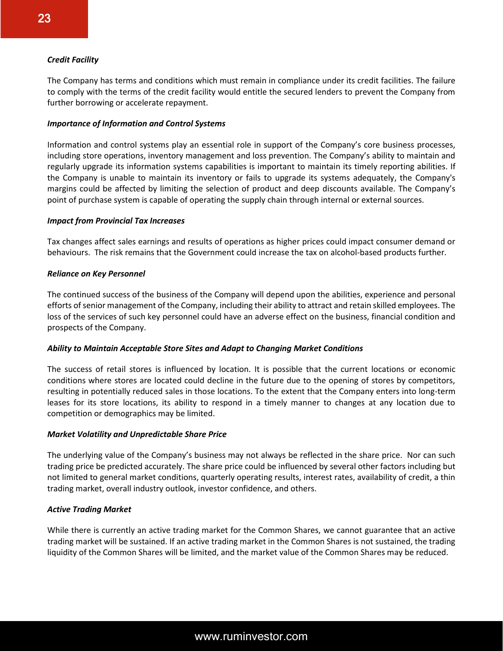#### *Credit Facility*

The Company has terms and conditions which must remain in compliance under its credit facilities. The failure to comply with the terms of the credit facility would entitle the secured lenders to prevent the Company from further borrowing or accelerate repayment.

#### *Importance of Information and Control Systems*

Information and control systems play an essential role in support of the Company's core business processes, including store operations, inventory management and loss prevention. The Company's ability to maintain and regularly upgrade its information systems capabilities is important to maintain its timely reporting abilities. If the Company is unable to maintain its inventory or fails to upgrade its systems adequately, the Company's margins could be affected by limiting the selection of product and deep discounts available. The Company's point of purchase system is capable of operating the supply chain through internal or external sources.

#### *Impact from Provincial Tax Increases*

Tax changes affect sales earnings and results of operations as higher prices could impact consumer demand or behaviours. The risk remains that the Government could increase the tax on alcohol-based products further.

#### *Reliance on Key Personnel*

The continued success of the business of the Company will depend upon the abilities, experience and personal efforts of senior management of the Company, including their ability to attract and retain skilled employees. The loss of the services of such key personnel could have an adverse effect on the business, financial condition and prospects of the Company.

#### *Ability to Maintain Acceptable Store Sites and Adapt to Changing Market Conditions*

The success of retail stores is influenced by location. It is possible that the current locations or economic conditions where stores are located could decline in the future due to the opening of stores by competitors, resulting in potentially reduced sales in those locations. To the extent that the Company enters into long-term leases for its store locations, its ability to respond in a timely manner to changes at any location due to competition or demographics may be limited.

#### *Market Volatility and Unpredictable Share Price*

The underlying value of the Company's business may not always be reflected in the share price. Nor can such trading price be predicted accurately. The share price could be influenced by several other factors including but not limited to general market conditions, quarterly operating results, interest rates, availability of credit, a thin trading market, overall industry outlook, investor confidence, and others.

#### *Active Trading Market*

While there is currently an active trading market for the Common Shares, we cannot guarantee that an active trading market will be sustained. If an active trading market in the Common Shares is not sustained, the trading liquidity of the Common Shares will be limited, and the market value of the Common Shares may be reduced.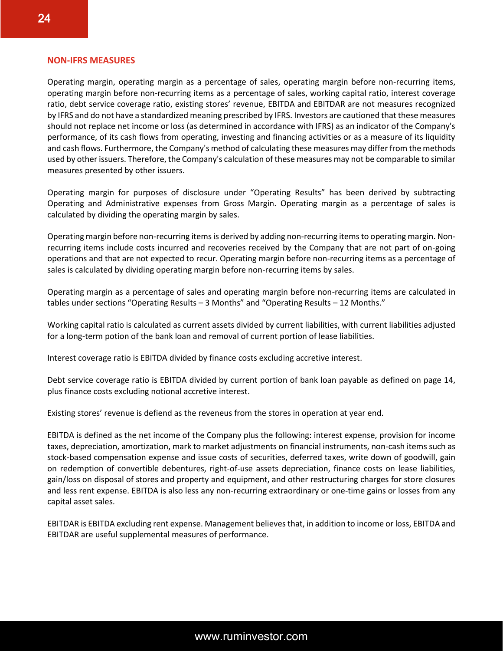#### **NON-IFRS MEASURES**

Operating margin, operating margin as a percentage of sales, operating margin before non-recurring items, operating margin before non-recurring items as a percentage of sales, working capital ratio, interest coverage ratio, debt service coverage ratio, existing stores' revenue, EBITDA and EBITDAR are not measures recognized by IFRS and do not have a standardized meaning prescribed by IFRS. Investors are cautioned that these measures should not replace net income or loss (as determined in accordance with IFRS) as an indicator of the Company's performance, of its cash flows from operating, investing and financing activities or as a measure of its liquidity and cash flows. Furthermore, the Company's method of calculating these measures may differ from the methods used by other issuers. Therefore, the Company's calculation of these measures may not be comparable to similar measures presented by other issuers.

Operating margin for purposes of disclosure under "Operating Results" has been derived by subtracting Operating and Administrative expenses from Gross Margin. Operating margin as a percentage of sales is calculated by dividing the operating margin by sales.

Operating margin before non-recurring items is derived by adding non-recurring items to operating margin. Nonrecurring items include costs incurred and recoveries received by the Company that are not part of on-going operations and that are not expected to recur. Operating margin before non-recurring items as a percentage of sales is calculated by dividing operating margin before non-recurring items by sales.

Operating margin as a percentage of sales and operating margin before non-recurring items are calculated in tables under sections "Operating Results – 3 Months" and "Operating Results – 12 Months."

Working capital ratio is calculated as current assets divided by current liabilities, with current liabilities adjusted for a long-term potion of the bank loan and removal of current portion of lease liabilities.

Interest coverage ratio is EBITDA divided by finance costs excluding accretive interest.

Debt service coverage ratio is EBITDA divided by current portion of bank loan payable as defined on page 14, plus finance costs excluding notional accretive interest.

Existing stores' revenue is defiend as the reveneus from the stores in operation at year end.

EBITDA is defined as the net income of the Company plus the following: interest expense, provision for income taxes, depreciation, amortization, mark to market adjustments on financial instruments, non-cash items such as stock-based compensation expense and issue costs of securities, deferred taxes, write down of goodwill, gain on redemption of convertible debentures, right-of-use assets depreciation, finance costs on lease liabilities, gain/loss on disposal of stores and property and equipment, and other restructuring charges for store closures and less rent expense. EBITDA is also less any non-recurring extraordinary or one-time gains or losses from any capital asset sales.

EBITDAR is EBITDA excluding rent expense. Management believes that, in addition to income or loss, EBITDA and EBITDAR are useful supplemental measures of performance.